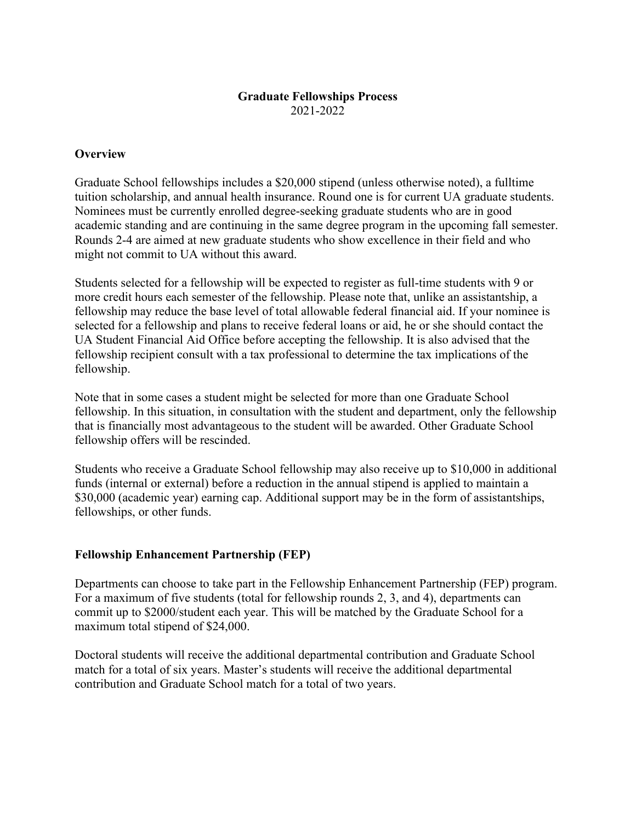# **Graduate Fellowships Process**  2021-2022

# **Overview**

Graduate School fellowships includes a \$20,000 stipend (unless otherwise noted), a fulltime tuition scholarship, and annual health insurance. Round one is for current UA graduate students. Nominees must be currently enrolled degree-seeking graduate students who are in good academic standing and are continuing in the same degree program in the upcoming fall semester. Rounds 2-4 are aimed at new graduate students who show excellence in their field and who might not commit to UA without this award.

Students selected for a fellowship will be expected to register as full-time students with 9 or more credit hours each semester of the fellowship. Please note that, unlike an assistantship, a fellowship may reduce the base level of total allowable federal financial aid. If your nominee is selected for a fellowship and plans to receive federal loans or aid, he or she should contact the UA Student Financial Aid Office before accepting the fellowship. It is also advised that the fellowship recipient consult with a tax professional to determine the tax implications of the fellowship.

Note that in some cases a student might be selected for more than one Graduate School fellowship. In this situation, in consultation with the student and department, only the fellowship that is financially most advantageous to the student will be awarded. Other Graduate School fellowship offers will be rescinded.

Students who receive a Graduate School fellowship may also receive up to \$10,000 in additional funds (internal or external) before a reduction in the annual stipend is applied to maintain a \$30,000 (academic year) earning cap. Additional support may be in the form of assistantships, fellowships, or other funds.

## **Fellowship Enhancement Partnership (FEP)**

Departments can choose to take part in the Fellowship Enhancement Partnership (FEP) program. For a maximum of five students (total for fellowship rounds 2, 3, and 4), departments can commit up to \$2000/student each year. This will be matched by the Graduate School for a maximum total stipend of \$24,000.

Doctoral students will receive the additional departmental contribution and Graduate School match for a total of six years. Master's students will receive the additional departmental contribution and Graduate School match for a total of two years.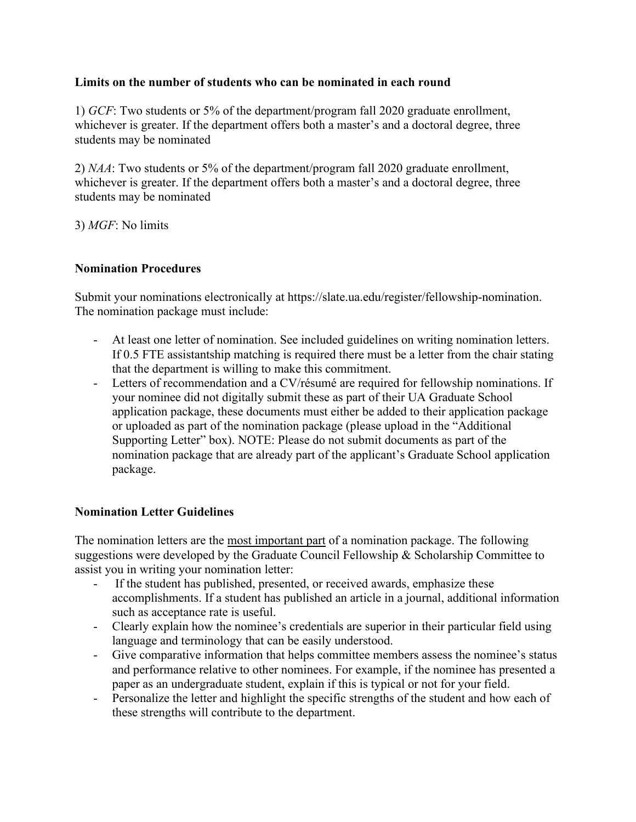# **Limits on the number of students who can be nominated in each round**

1) *GCF*: Two students or 5% of the department/program fall 2020 graduate enrollment, whichever is greater. If the department offers both a master's and a doctoral degree, three students may be nominated

2) *NAA*: Two students or 5% of the department/program fall 2020 graduate enrollment, whichever is greater. If the department offers both a master's and a doctoral degree, three students may be nominated

3) *MGF*: No limits

# **Nomination Procedures**

Submit your nominations electronically at https://slate.ua.edu/register/fellowship-nomination. The nomination package must include:

- At least one letter of nomination. See included guidelines on writing nomination letters. If 0.5 FTE assistantship matching is required there must be a letter from the chair stating that the department is willing to make this commitment.
- Letters of recommendation and a CV/résumé are required for fellowship nominations. If your nominee did not digitally submit these as part of their UA Graduate School application package, these documents must either be added to their application package or uploaded as part of the nomination package (please upload in the "Additional Supporting Letter" box). NOTE: Please do not submit documents as part of the nomination package that are already part of the applicant's Graduate School application package.

# **Nomination Letter Guidelines**

The nomination letters are the most important part of a nomination package. The following suggestions were developed by the Graduate Council Fellowship & Scholarship Committee to assist you in writing your nomination letter:

- If the student has published, presented, or received awards, emphasize these accomplishments. If a student has published an article in a journal, additional information such as acceptance rate is useful.
- Clearly explain how the nominee's credentials are superior in their particular field using language and terminology that can be easily understood.
- Give comparative information that helps committee members assess the nominee's status and performance relative to other nominees. For example, if the nominee has presented a paper as an undergraduate student, explain if this is typical or not for your field.
- Personalize the letter and highlight the specific strengths of the student and how each of these strengths will contribute to the department.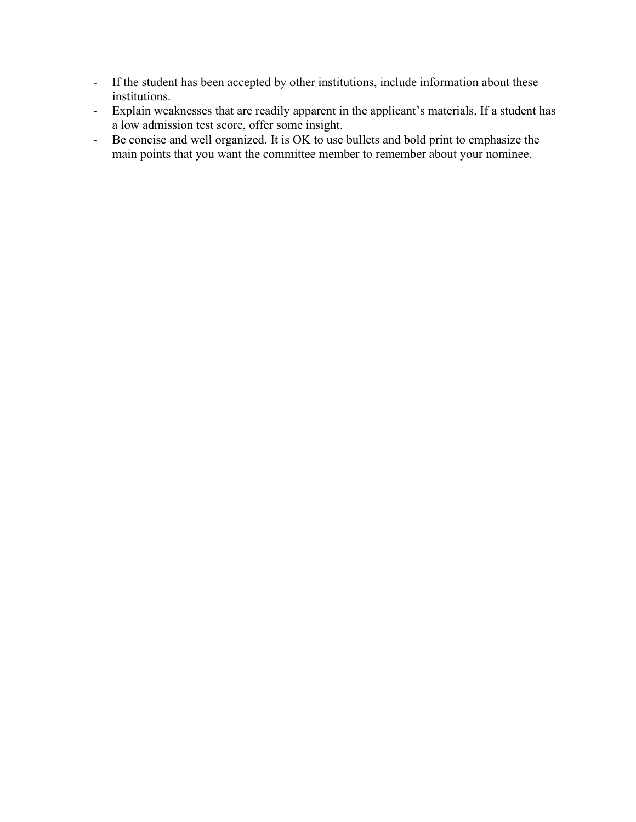- If the student has been accepted by other institutions, include information about these institutions.
- Explain weaknesses that are readily apparent in the applicant's materials. If a student has a low admission test score, offer some insight.
- Be concise and well organized. It is OK to use bullets and bold print to emphasize the main points that you want the committee member to remember about your nominee.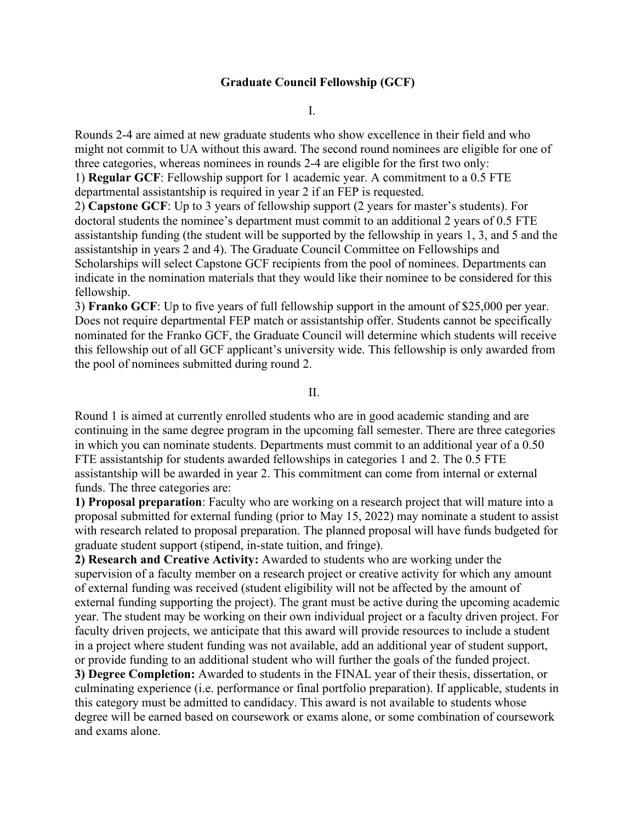# **Graduate Council Fellowship (GCF)**

I.

Rounds 2-4 are aimed at new graduate students who show excellence in their field and who might not commit to UA without this award. The second round nominees are eligible for one of three categories, whereas nominees in rounds 2-4 are eligible for the first two only:

1) **Regular GCF**: Fellowship support for 1 academic year. A commitment to a 0.5 FTE departmental assistantship is required in year 2 if an FEP is requested.

2) **Capstone GCF**: Up to 3 years of fellowship support (2 years for master's students). For doctoral students the nominee's department must commit to an additional 2 years of 0.5 FTE assistantship funding (the student will be supported by the fellowship in years 1, 3, and 5 and the assistantship in years 2 and 4). The Graduate Council Committee on Fellowships and Scholarships will select Capstone GCF recipients from the pool of nominees. Departments can indicate in the nomination materials that they would like their nominee to be considered for this fellowship.

3) **Franko GCF**: Up to five years of full fellowship support in the amount of \$25,000 per year. Does not require departmental FEP match or assistantship offer. Students cannot be specifically nominated for the Franko GCF, the Graduate Council will determine which students will receive this fellowship out of all GCF applicant's university wide. This fellowship is only awarded from the pool of nominees submitted during round 2.

II.

Round 1 is aimed at currently enrolled students who are in good academic standing and are continuing in the same degree program in the upcoming fall semester. There are three categories in which you can nominate students. Departments must commit to an additional year of a 0.50 FTE assistantship for students awarded fellowships in categories 1 and 2. The 0.5 FTE assistantship will be awarded in year 2. This commitment can come from internal or external funds. The three categories are:

**1) Proposal preparation**: Faculty who are working on a research project that will mature into a proposal submitted for external funding (prior to May 15, 2022) may nominate a student to assist with research related to proposal preparation. The planned proposal will have funds budgeted for graduate student support (stipend, in-state tuition, and fringe).

**2) Research and Creative Activity:** Awarded to students who are working under the supervision of a faculty member on a research project or creative activity for which any amount of external funding was received (student eligibility will not be affected by the amount of external funding supporting the project). The grant must be active during the upcoming academic year. The student may be working on their own individual project or a faculty driven project. For faculty driven projects, we anticipate that this award will provide resources to include a student in a project where student funding was not available, add an additional year of student support, or provide funding to an additional student who will further the goals of the funded project.

**3) Degree Completion:** Awarded to students in the FINAL year of their thesis, dissertation, or culminating experience (i.e. performance or final portfolio preparation). If applicable, students in this category must be admitted to candidacy. This award is not available to students whose degree will be earned based on coursework or exams alone, or some combination of coursework and exams alone.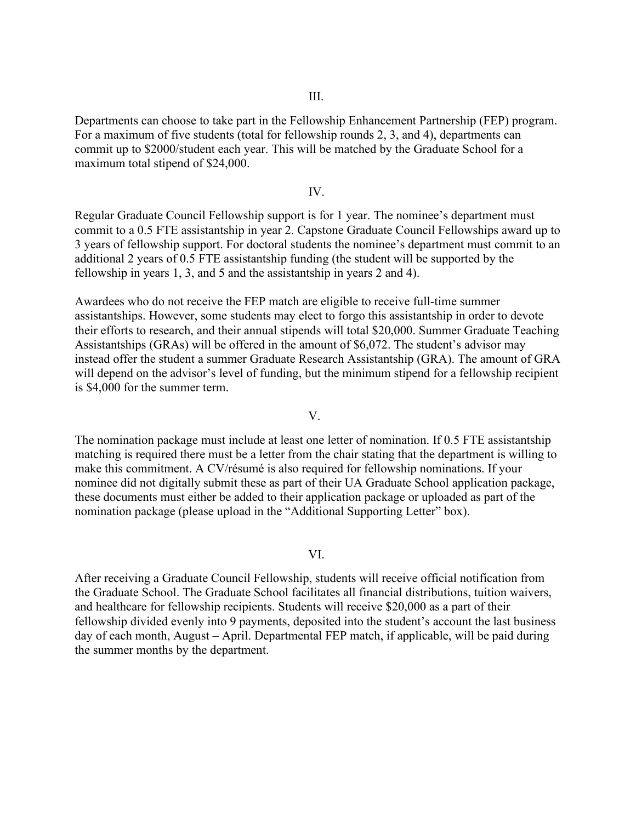Departments can choose to take part in the Fellowship Enhancement Partnership (FEP) program. For a maximum of five students (total for fellowship rounds 2, 3, and 4), departments can commit up to \$2000/student each year. This will be matched by the Graduate School for a maximum total stipend of \$24,000.

### IV.

Regular Graduate Council Fellowship support is for 1 year. The nominee's department must commit to a 0.5 FTE assistantship in year 2. Capstone Graduate Council Fellowships award up to 3 years of fellowship support. For doctoral students the nominee's department must commit to an additional 2 years of 0.5 FTE assistantship funding (the student will be supported by the fellowship in years 1, 3, and 5 and the assistantship in years 2 and 4).

Awardees who do not receive the FEP match are eligible to receive full-time summer assistantships. However, some students may elect to forgo this assistantship in order to devote their efforts to research, and their annual stipends will total \$20,000. Summer Graduate Teaching Assistantships (GRAs) will be offered in the amount of \$6,072. The student's advisor may instead offer the student a summer Graduate Research Assistantship (GRA). The amount of GRA will depend on the advisor's level of funding, but the minimum stipend for a fellowship recipient is \$4,000 for the summer term.

### V.

The nomination package must include at least one letter of nomination. If 0.5 FTE assistantship matching is required there must be a letter from the chair stating that the department is willing to make this commitment. A CV/résumé is also required for fellowship nominations. If your nominee did not digitally submit these as part of their UA Graduate School application package, these documents must either be added to their application package or uploaded as part of the nomination package (please upload in the "Additional Supporting Letter" box).

### VI.

After receiving a Graduate Council Fellowship, students will receive official notification from the Graduate School. The Graduate School facilitates all financial distributions, tuition waivers, and healthcare for fellowship recipients. Students will receive \$20,000 as a part of their fellowship divided evenly into 9 payments, deposited into the student's account the last business day of each month, August – April. Departmental FEP match, if applicable, will be paid during the summer months by the department.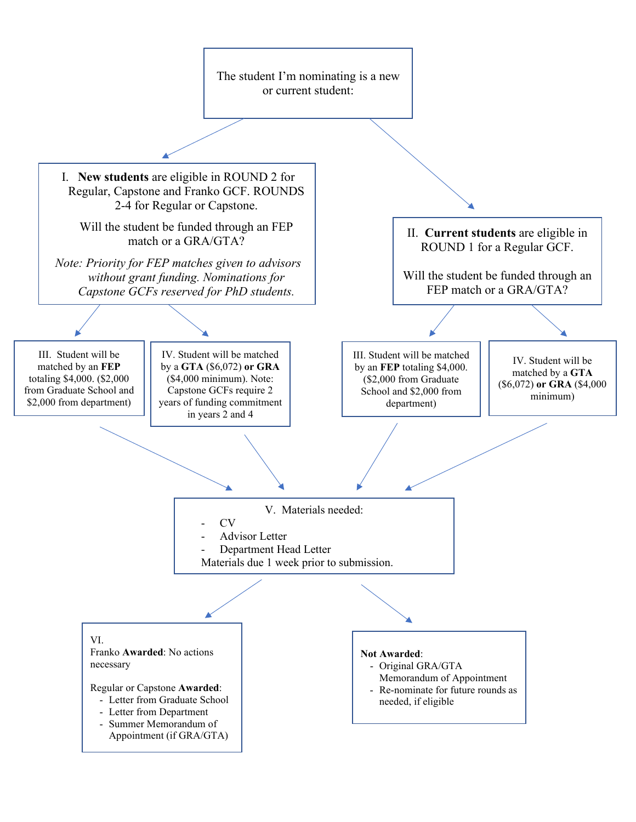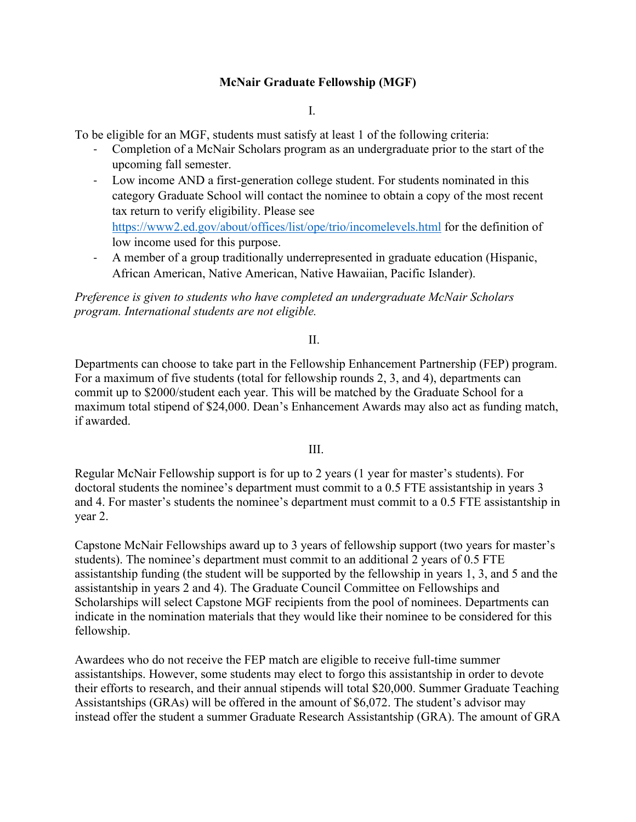# **McNair Graduate Fellowship (MGF)**

I.

To be eligible for an MGF, students must satisfy at least 1 of the following criteria:

- Completion of a McNair Scholars program as an undergraduate prior to the start of the upcoming fall semester.
- Low income AND a first-generation college student. For students nominated in this category Graduate School will contact the nominee to obtain a copy of the most recent tax return to verify eligibility. Please see <https://www2.ed.gov/about/offices/list/ope/trio/incomelevels.html> for the definition of low income used for this purpose.
- A member of a group traditionally underrepresented in graduate education (Hispanic, African American, Native American, Native Hawaiian, Pacific Islander).

*Preference is given to students who have completed an undergraduate McNair Scholars program. International students are not eligible.* 

## II.

Departments can choose to take part in the Fellowship Enhancement Partnership (FEP) program. For a maximum of five students (total for fellowship rounds 2, 3, and 4), departments can commit up to \$2000/student each year. This will be matched by the Graduate School for a maximum total stipend of \$24,000. Dean's Enhancement Awards may also act as funding match, if awarded.

## III.

Regular McNair Fellowship support is for up to 2 years (1 year for master's students). For doctoral students the nominee's department must commit to a 0.5 FTE assistantship in years 3 and 4. For master's students the nominee's department must commit to a 0.5 FTE assistantship in year 2.

Capstone McNair Fellowships award up to 3 years of fellowship support (two years for master's students). The nominee's department must commit to an additional 2 years of 0.5 FTE assistantship funding (the student will be supported by the fellowship in years 1, 3, and 5 and the assistantship in years 2 and 4). The Graduate Council Committee on Fellowships and Scholarships will select Capstone MGF recipients from the pool of nominees. Departments can indicate in the nomination materials that they would like their nominee to be considered for this fellowship.

Awardees who do not receive the FEP match are eligible to receive full-time summer assistantships. However, some students may elect to forgo this assistantship in order to devote their efforts to research, and their annual stipends will total \$20,000. Summer Graduate Teaching Assistantships (GRAs) will be offered in the amount of \$6,072. The student's advisor may instead offer the student a summer Graduate Research Assistantship (GRA). The amount of GRA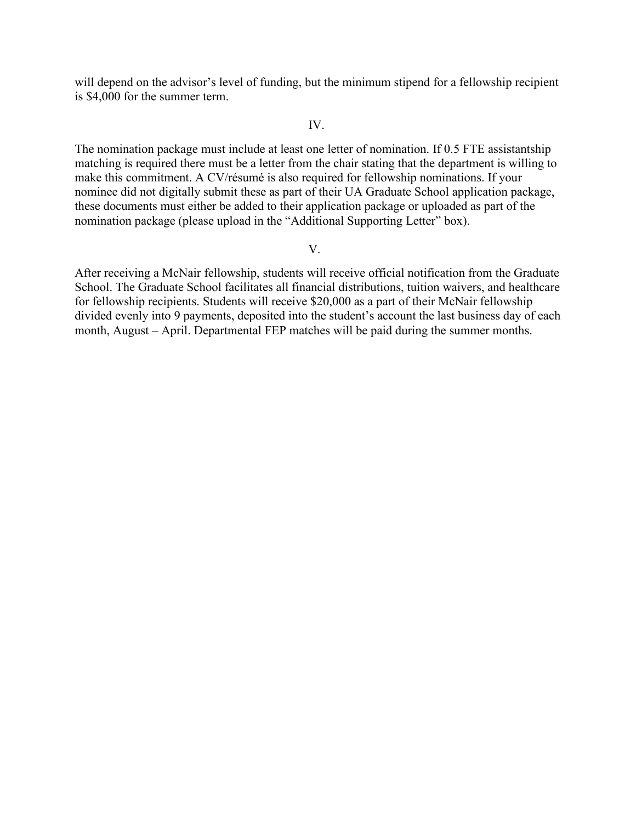will depend on the advisor's level of funding, but the minimum stipend for a fellowship recipient is \$4,000 for the summer term.

#### IV.

The nomination package must include at least one letter of nomination. If 0.5 FTE assistantship matching is required there must be a letter from the chair stating that the department is willing to make this commitment. A CV/résumé is also required for fellowship nominations. If your nominee did not digitally submit these as part of their UA Graduate School application package, these documents must either be added to their application package or uploaded as part of the nomination package (please upload in the "Additional Supporting Letter" box).

#### V.

After receiving a McNair fellowship, students will receive official notification from the Graduate School. The Graduate School facilitates all financial distributions, tuition waivers, and healthcare for fellowship recipients. Students will receive \$20,000 as a part of their McNair fellowship divided evenly into 9 payments, deposited into the student's account the last business day of each month, August – April. Departmental FEP matches will be paid during the summer months.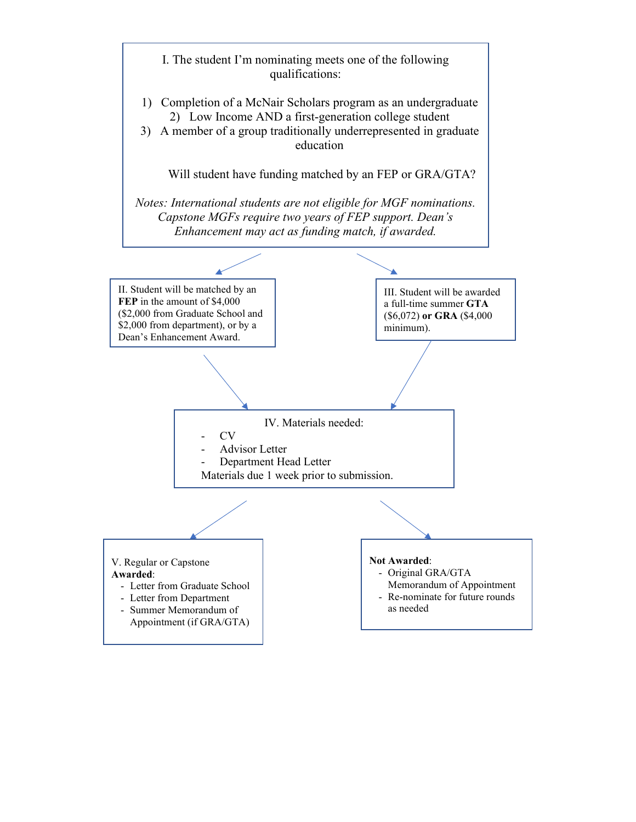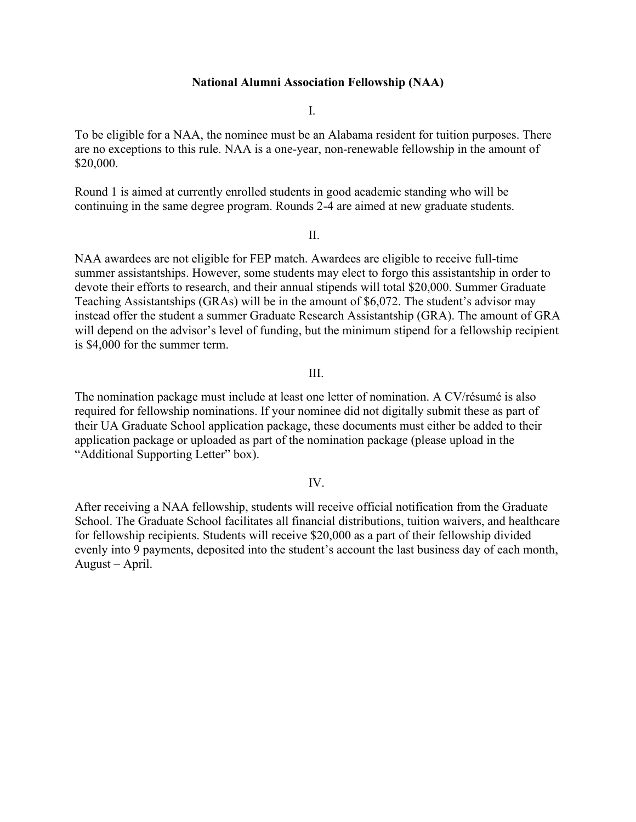## **National Alumni Association Fellowship (NAA)**

I.

To be eligible for a NAA, the nominee must be an Alabama resident for tuition purposes. There are no exceptions to this rule. NAA is a one-year, non-renewable fellowship in the amount of \$20,000.

Round 1 is aimed at currently enrolled students in good academic standing who will be continuing in the same degree program. Rounds 2-4 are aimed at new graduate students.

### II.

NAA awardees are not eligible for FEP match. Awardees are eligible to receive full-time summer assistantships. However, some students may elect to forgo this assistantship in order to devote their efforts to research, and their annual stipends will total \$20,000. Summer Graduate Teaching Assistantships (GRAs) will be in the amount of \$6,072. The student's advisor may instead offer the student a summer Graduate Research Assistantship (GRA). The amount of GRA will depend on the advisor's level of funding, but the minimum stipend for a fellowship recipient is \$4,000 for the summer term.

### III.

The nomination package must include at least one letter of nomination. A CV/résumé is also required for fellowship nominations. If your nominee did not digitally submit these as part of their UA Graduate School application package, these documents must either be added to their application package or uploaded as part of the nomination package (please upload in the "Additional Supporting Letter" box).

## IV.

After receiving a NAA fellowship, students will receive official notification from the Graduate School. The Graduate School facilitates all financial distributions, tuition waivers, and healthcare for fellowship recipients. Students will receive \$20,000 as a part of their fellowship divided evenly into 9 payments, deposited into the student's account the last business day of each month, August – April.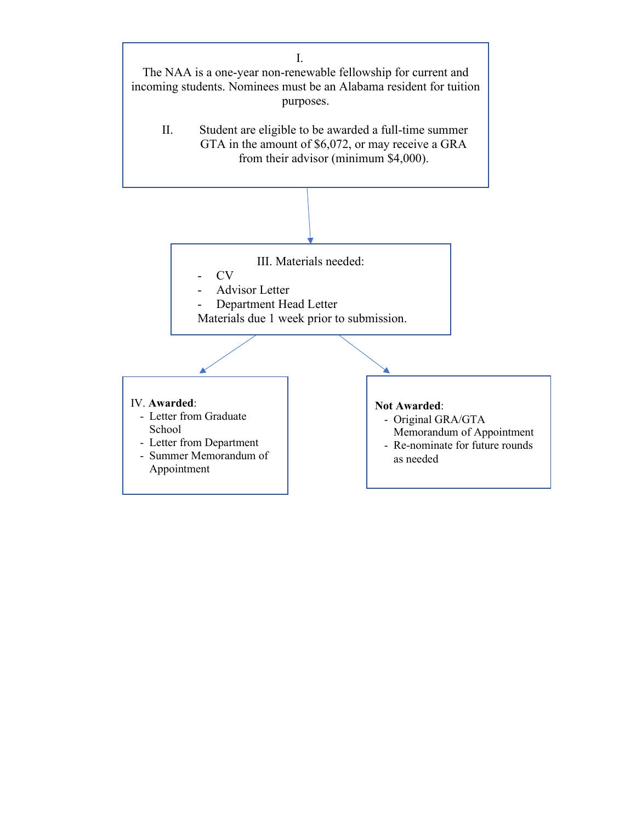